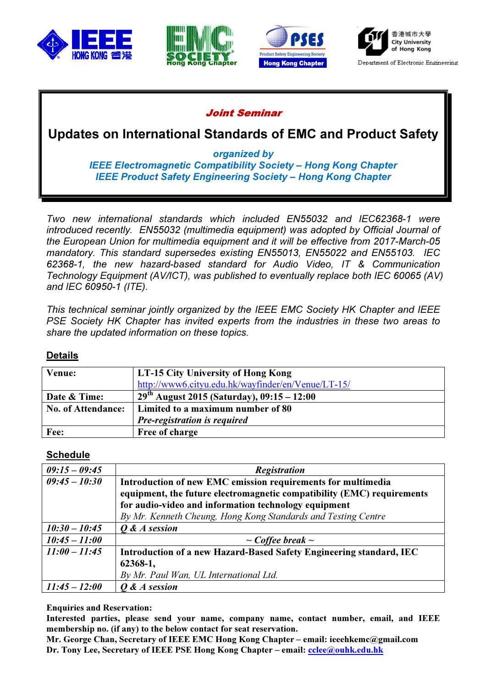







### Joint Seminar

Updates on International Standards of EMC and Product Safety

organized by

IEEE Electromagnetic Compatibility Society – Hong Kong Chapter IEEE Product Safety Engineering Society – Hong Kong Chapter

Two new international standards which included EN55032 and IEC62368-1 were introduced recently. EN55032 (multimedia equipment) was adopted by Official Journal of the European Union for multimedia equipment and it will be effective from 2017-March-05 mandatory. This standard supersedes existing EN55013, EN55022 and EN55103. IEC 62368-1, the new hazard-based standard for Audio Video, IT & Communication Technology Equipment (AV/ICT), was published to eventually replace both IEC 60065 (AV) and IEC 60950-1 (ITE).

This technical seminar jointly organized by the IEEE EMC Society HK Chapter and IEEE PSE Society HK Chapter has invited experts from the industries in these two areas to share the updated information on these topics.

### Details

| Venue:                    | LT-15 City University of Hong Kong                 |
|---------------------------|----------------------------------------------------|
|                           | http://www6.cityu.edu.hk/wayfinder/en/Venue/LT-15/ |
| Date & Time:              | $29th$ August 2015 (Saturday), 09:15 – 12:00       |
| <b>No. of Attendance:</b> | Limited to a maximum number of 80                  |
|                           | <b>Pre-registration is required</b>                |
| Fee:                      | Free of charge                                     |

#### Schedule

| $09:15 - 09:45$ | <b>Registration</b>                                                    |
|-----------------|------------------------------------------------------------------------|
| $09:45 - 10:30$ | Introduction of new EMC emission requirements for multimedia           |
|                 | equipment, the future electromagnetic compatibility (EMC) requirements |
|                 | for audio-video and information technology equipment                   |
|                 | By Mr. Kenneth Cheung, Hong Kong Standards and Testing Centre          |
| $10:30 - 10:45$ | Q & A session                                                          |
| $10:45 - 11:00$ | $\sim$ Coffee break $\sim$                                             |
| $11:00 - 11:45$ | Introduction of a new Hazard-Based Safety Engineering standard, IEC    |
|                 | 62368-1,                                                               |
|                 | By Mr. Paul Wan, UL International Ltd.                                 |
| $11:45 - 12:00$ | O & A session                                                          |

Enquiries and Reservation:

Interested parties, please send your name, company name, contact number, email, and IEEE membership no. (if any) to the below contact for seat reservation.

Mr. George Chan, Secretary of IEEE EMC Hong Kong Chapter – email: ieeehkemc@gmail.com Dr. Tony Lee, Secretary of IEEE PSE Hong Kong Chapter – email: cclee@ouhk.edu.hk